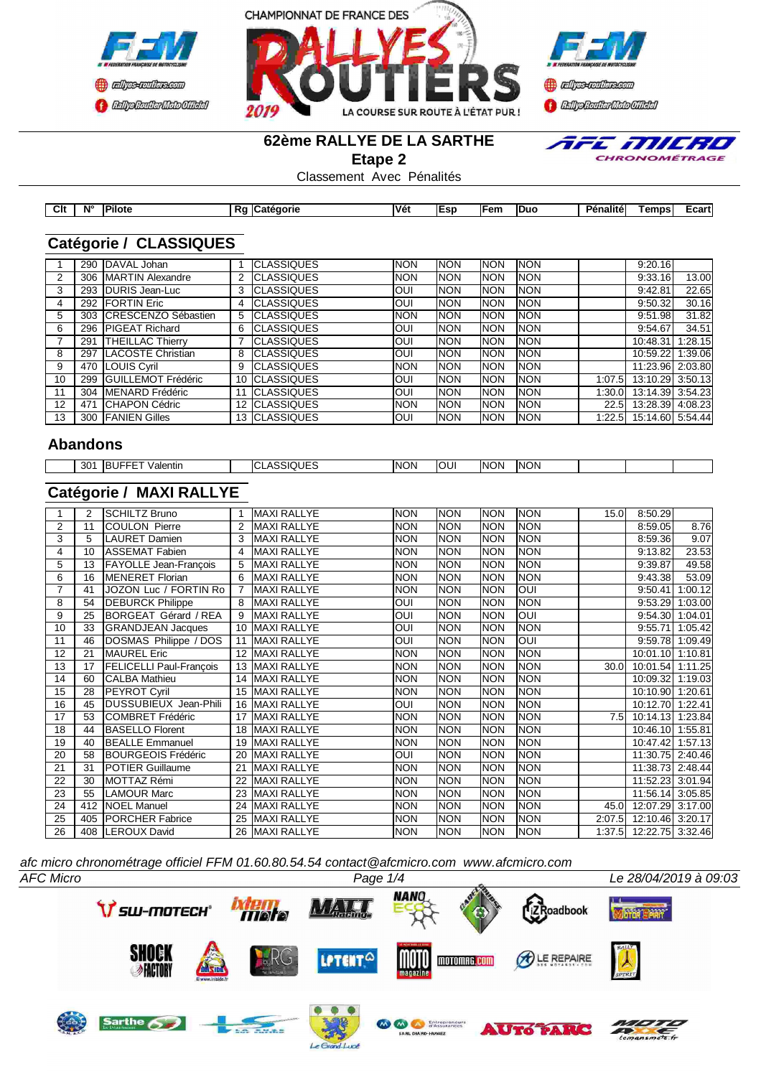





#### **62ème RALLYE DE LA SARTHE**

**Etape 2**



Classement Avec Pénalités

| Clt | <b>N°</b> | <b>Pilote</b> | в.<br>eaorie<br>n. | Ná<br>. | lEsi | IE<br>--- | <b>Duc</b> | <b>Pénalité</b> | . empr | :cart |
|-----|-----------|---------------|--------------------|---------|------|-----------|------------|-----------------|--------|-------|
|     |           |               |                    |         |      |           |            |                 |        |       |

# **Catégorie / CLASSIQUES**

|    | 290 | DAVAL Johan               |                   | <b>CLASSIQUES</b>     | <b>INON</b> | <b>INON</b> | <b>INON</b> | <b>NON</b> |         | 9:20.16          |         |
|----|-----|---------------------------|-------------------|-----------------------|-------------|-------------|-------------|------------|---------|------------------|---------|
|    |     | 306   MARTIN Alexandre    |                   | <b>ICLASSIQUES</b>    | <b>INON</b> | <b>INON</b> | Inon        | <b>NON</b> |         | 9:33.16          | 13.00   |
| 3  | 293 | <b>IDURIS Jean-Luc</b>    |                   | <b>CLASSIQUES</b>     | IOUI        | <b>INON</b> | Inon        | <b>NON</b> |         | 9:42.81          | 22.65   |
| 4  | 292 | <b>IFORTIN Eric</b>       |                   | <b>CLASSIQUES</b>     | IOUI        | <b>INON</b> | Inon        | <b>NON</b> |         | 9:50.32          | 30.16   |
| 5  | 303 | ICRESCENZO Sébastien      | 5                 | <b>CLASSIQUES</b>     | <b>INON</b> | <b>INON</b> | <b>INON</b> | <b>NON</b> |         | 9:51.98          | 31.82   |
| 6  | 296 | <b>PIGEAT Richard</b>     | 6                 | <b>CLASSIQUES</b>     | IOUI        | <b>INON</b> | Inon        | <b>NON</b> |         | 9:54.67          | 34.51   |
|    | 291 | <b>THEILLAC Thierry</b>   |                   | <b>CLASSIQUES</b>     | IOUI        | <b>INON</b> | <b>INON</b> | <b>NON</b> |         | 10:48.31         | 1:28.15 |
| 8  | 297 | <b>LACOSTE Christian</b>  | 8                 | <b>ICLASSIQUES</b>    | IOUI        | <b>NON</b>  | Inon        | <b>NON</b> |         | 10:59.22         | 1:39.06 |
| 9  |     | 470 ILOUIS Cyril          | 9                 | <b>CLASSIQUES</b>     | <b>INON</b> | <b>INON</b> | Inon        | <b>NON</b> |         | 11:23.96 2:03.80 |         |
| 10 | 299 | <b>GUILLEMOT Frédéric</b> |                   | 10 <b>ICLASSIQUES</b> | IOUI        | <b>INON</b> | <b>INON</b> | <b>NON</b> | 1:07.5  | 13:10.29 3:50.13 |         |
| 11 | 304 | <b>IMENARD</b> Frédéric   |                   | <b>ICLASSIQUES</b>    | IOUI        | <b>INON</b> | <b>INON</b> | <b>NON</b> | 1:30.0l | 13:14.39 3:54.23 |         |
| 12 | 471 | <b>ICHAPON Cédric</b>     | $12 \overline{ }$ | <b>ICLASSIQUES</b>    | <b>INON</b> | <b>INON</b> | <b>INON</b> | <b>NON</b> | 22.5    | 13:28.39 4:08.23 |         |
| 13 |     | 300 FANIEN Gilles         |                   | 13 CLASSIQUES         | IOUI        | INON        | Inon        | <b>NON</b> | 1:22.5  | 15:14.60 5:54.44 |         |

#### **Abandons**

| ⊶ הר<br>-SU | alentir.<br>nι | ---<br>ICI<br>. .<br>70L J<br><b></b> | <b>INON</b> | - | <b>INON</b> | <b>NON</b> |  |  |
|-------------|----------------|---------------------------------------|-------------|---|-------------|------------|--|--|
|             |                |                                       |             |   |             |            |  |  |

# **Catégorie / MAXI RALLYE**

|                | 2   | SCHILTZ Bruno                  |                | <b>MAXI RALLYE</b> | <b>NON</b> | <b>NON</b> | <b>NON</b>  | <b>NON</b> | 15.0              | 8:50.29                 |                 |
|----------------|-----|--------------------------------|----------------|--------------------|------------|------------|-------------|------------|-------------------|-------------------------|-----------------|
| 2              | 11  | <b>COULON Pierre</b>           | 2              | <b>MAXI RALLYE</b> | <b>NON</b> | <b>NON</b> | <b>NON</b>  | <b>NON</b> |                   | 8:59.05                 | 8.76            |
| 3              | 5   | <b>LAURET Damien</b>           | 3              | <b>MAXI RALLYE</b> | <b>NON</b> | <b>NON</b> | <b>INON</b> | <b>NON</b> |                   | 8:59.36                 | 9.07            |
| 4              | 10  | <b>ASSEMAT Fabien</b>          | 4              | <b>MAXI RALLYE</b> | <b>NON</b> | <b>NON</b> | <b>NON</b>  | <b>NON</b> |                   | 9:13.82                 | 23.53           |
| 5              | 13  | FAYOLLE Jean-François          | 5              | <b>MAXI RALLYE</b> | <b>NON</b> | <b>NON</b> | <b>NON</b>  | <b>NON</b> |                   | 9:39.87                 | 49.58           |
| 6              | 16  | <b>MENERET Florian</b>         | 6              | <b>MAXI RALLYE</b> | <b>NON</b> | <b>NON</b> | <b>NON</b>  | <b>NON</b> |                   | 9:43.38                 | 53.09           |
| $\overline{7}$ | 41  | JOZON Luc / FORTIN Ro          | $\overline{7}$ | <b>MAXI RALLYE</b> | <b>NON</b> | <b>NON</b> | <b>NON</b>  | QUI        |                   | 9:50.41                 | 1:00.12         |
| 8              | 54  | <b>DEBURCK Philippe</b>        | 8              | <b>MAXI RALLYE</b> | <b>OUI</b> | <b>NON</b> | <b>NON</b>  | <b>NON</b> |                   |                         | 9:53.29 1:03.00 |
| 9              | 25  | BORGEAT Gérard / REA           | 9              | <b>MAXI RALLYE</b> | <b>OUI</b> | <b>NON</b> | <b>NON</b>  | OUI        |                   |                         | 9:54.30 1:04.01 |
| 10             | 33  | <b>GRANDJEAN Jacques</b>       | 10             | MAXI RALLYE        | <b>OUI</b> | <b>NON</b> | <b>NON</b>  | <b>NON</b> |                   |                         | 9:55.71 1:05.42 |
| 11             | 46  | DOSMAS Philippe / DOS          | 11             | <b>MAXI RALLYE</b> | <b>OUI</b> | <b>NON</b> | <b>NON</b>  | OUI        |                   |                         | 9:59.78 1:09.49 |
| 12             | 21  | <b>IMAUREL Eric</b>            |                | 12 MAXI RALLYE     | <b>NON</b> | <b>NON</b> | <b>NON</b>  | <b>NON</b> |                   | 10:01.10 1:10.81        |                 |
| 13             | 17  | <b>FELICELLI Paul-François</b> |                | 13 MAXI RALLYE     | <b>NON</b> | <b>NON</b> | <b>NON</b>  | <b>NON</b> | 30.0              | 10:01.54 1:11.25        |                 |
| 14             | 60  | <b>CALBA Mathieu</b>           | 14             | <b>MAXI RALLYE</b> | <b>NON</b> | <b>NON</b> | <b>NON</b>  | <b>NON</b> |                   | 10:09.32 1:19.03        |                 |
| 15             | 28  | <b>PEYROT Cyril</b>            |                | 15 MAXI RALLYE     | <b>NON</b> | <b>NON</b> | <b>NON</b>  | <b>NON</b> |                   | 10:10.90 1:20.61        |                 |
| 16             | 45  | <b>I</b> DUSSUBIEUX Jean-Phili |                | 16 MAXI RALLYE     | OUI        | <b>NON</b> | <b>NON</b>  | <b>NON</b> |                   | 10:12.70 1:22.41        |                 |
| 17             | 53  | <b>ICOMBRET Frédéric</b>       |                | 17 MAXI RALLYE     | <b>NON</b> | <b>NON</b> | INON        | <b>NON</b> | 7.5 <sub>1</sub>  | 10:14.13 1:23.84        |                 |
| 18             | 44  | <b>BASELLO Florent</b>         | 18             | <b>MAXI RALLYE</b> | <b>NON</b> | <b>NON</b> | <b>NON</b>  | <b>NON</b> |                   | 10:46.10 1:55.81        |                 |
| 19             | 40  | <b>BEALLE Emmanuel</b>         | 19             | <b>MAXI RALLYE</b> | <b>NON</b> | <b>NON</b> | <b>NON</b>  | <b>NON</b> |                   | 10:47.42 1:57.13        |                 |
| 20             | 58  | BOURGEOIS Frédéric             | 20             | <b>MAXI RALLYE</b> | <b>OUI</b> | <b>NON</b> | <b>NON</b>  | <b>NON</b> |                   | 11:30.75 2:40.46        |                 |
| 21             | 31  | <b>IPOTIER Guillaume</b>       | 21             | <b>MAXI RALLYE</b> | <b>NON</b> | <b>NON</b> | <b>NON</b>  | <b>NON</b> |                   | 11:38.73 2:48.44        |                 |
| 22             | 30  | MOTTAZ Rémi                    | 22             | <b>MAXI RALLYE</b> | <b>NON</b> | <b>NON</b> | INON        | <b>NON</b> |                   | 11:52.23 3:01.94        |                 |
| 23             | 55  | <b>LAMOUR Marc</b>             | 23             | <b>MAXI RALLYE</b> | <b>NON</b> | <b>NON</b> | <b>NON</b>  | <b>NON</b> |                   | 11:56.14 3:05.85        |                 |
| 24             | 412 | NOEL Manuel                    | 24             | <b>MAXI RALLYE</b> | <b>NON</b> | <b>NON</b> | <b>NON</b>  | <b>NON</b> | 45.0 <sub>l</sub> | 12:07.29 3:17.00        |                 |
| 25             | 405 | <b>PORCHER Fabrice</b>         |                | 25 MAXI RALLYE     | <b>NON</b> | <b>NON</b> | <b>NON</b>  | <b>NON</b> | 2:07.5            | 12:10.46 3:20.17        |                 |
| 26             |     | 408 ILEROUX David              |                | 26 MAXI RALLYE     | <b>NON</b> | <b>NON</b> | <b>NON</b>  | <b>NON</b> |                   | 1:37.5 12:22.75 3:32.46 |                 |

*afc micro chronométrage officiel FFM 01.60.80.54.54 contact@afcmicro.com www.afcmicro.com*

Le Gra

 $d$ *Luce* 

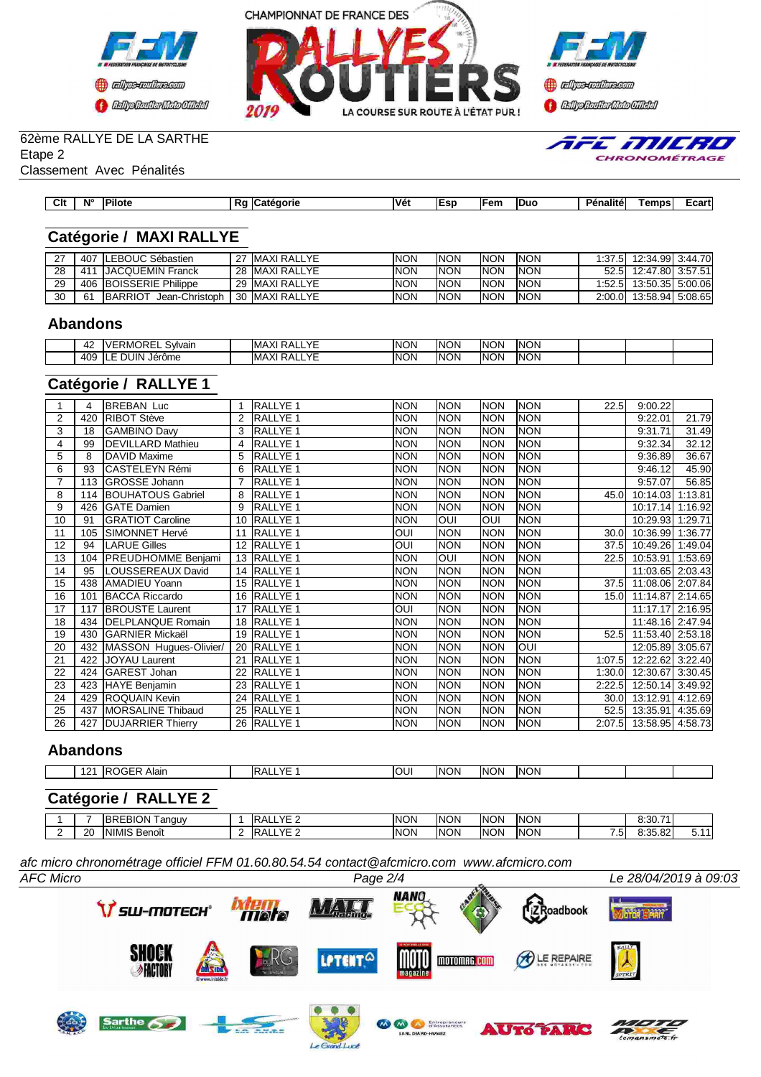





TFE MILRO CHRONOMÉTRAGE

### 62ème RALLYE DE LA SARTHE

Etape 2

Classement Avec Pénalités

| ---<br>- -                                                                                                                            |                      |
|---------------------------------------------------------------------------------------------------------------------------------------|----------------------|
| Clt<br>$N^{\circ}$<br>'Vét<br>Duc<br>∃em<br>--<br>Pilot⊾<br>.<br>---<br>analite<br>. Ол.<br>$\sim$<br>rıe<br>к.<br>. .<br>.<br>.<br>. | -00<br>∠carr<br>____ |

# **Catégorie / MAXI RALLYE**

|    | 407  | <b>ILEBOUC Sébastien</b>          | 27 IMAXI RALLYE | <b>INON</b> | <b>INON</b> | INON        | <b>NON</b> | 1:37.5  | 12:34.99l 3:44.70l    |  |
|----|------|-----------------------------------|-----------------|-------------|-------------|-------------|------------|---------|-----------------------|--|
| 28 | .411 | <b>IJACQUEMIN Franck</b>          | 28 IMAXI RALLYE | <b>INON</b> | <b>INON</b> | INON        | <b>NON</b> |         | 52.5 12:47.80 3:57.51 |  |
| 29 |      | 406 BOISSERIE Philippe            | 29 IMAXI RALLYE | <b>INON</b> | <b>INON</b> | <b>INON</b> | <b>NON</b> | 1:52.5  | 13:50.35l 5:00.06l    |  |
| 30 | 61   | Jean-Christoph<br><b>IBARRIOT</b> | 30 MAXI RALLYE  | <b>INON</b> | <b>INON</b> | INON        | <b>NON</b> | 2:00.0I | 13:58.94 5:08.65      |  |

#### **Abandons**

| 44         | $\sim$<br>. د د<br>Svivair<br>≺M∖ | $\sqrt{2}$<br>$\vee$<br>lM/<br>ו∧ר<br>$\cdot$<br>- - - | <b>INON</b> | <b>INON</b> | <b>INON</b> | <b>NON</b> |  |  |
|------------|-----------------------------------|--------------------------------------------------------|-------------|-------------|-------------|------------|--|--|
| 10C<br>т∪. | UIN.<br>. ורי<br>Jerôme           | $\sqrt{5}$<br>.v.<br>IM,<br>ו∧ר<br>$\cdot$<br>- - -    | <b>INON</b> | <b>INON</b> | <b>INON</b> | <b>NON</b> |  |  |

## **Catégorie / RALLYE 1**

|    | 4   | <b>BREBAN Luc</b>         |                   | RALLYE <sub>1</sub> | <b>NON</b> | <b>NON</b> | <b>NON</b>  | <b>NON</b> | 22.5              | 9:00.22          |         |
|----|-----|---------------------------|-------------------|---------------------|------------|------------|-------------|------------|-------------------|------------------|---------|
| 2  | 420 | RIBOT Stève               |                   | <b>RALLYE 1</b>     | <b>NON</b> | <b>NON</b> | <b>INON</b> | <b>NON</b> |                   | 9:22.01          | 21.79   |
| 3  | 18  | <b>GAMBINO Davy</b>       | 3                 | <b>RALLYE 1</b>     | <b>NON</b> | <b>NON</b> | <b>NON</b>  | <b>NON</b> |                   | 9:31.71          | 31.49   |
| 4  | 99  | <b>DEVILLARD Mathieu</b>  | 4                 | <b>RALLYE 1</b>     | <b>NON</b> | <b>NON</b> | <b>NON</b>  | <b>NON</b> |                   | 9:32.34          | 32.12   |
| 5  | 8   | <b>DAVID Maxime</b>       | 5                 | <b>RALLYE 1</b>     | <b>NON</b> | <b>NON</b> | <b>NON</b>  | <b>NON</b> |                   | 9:36.89          | 36.67   |
| 6  | 93  | <b>CASTELEYN Rémi</b>     | 6                 | RALLYE 1            | <b>NON</b> | <b>NON</b> | <b>NON</b>  | <b>NON</b> |                   | 9:46.12          | 45.90   |
|    | 113 | <b>GROSSE Johann</b>      |                   | RALLYE <sub>1</sub> | <b>NON</b> | <b>NON</b> | <b>NON</b>  | <b>NON</b> |                   | 9:57.07          | 56.85   |
| 8  | 114 | <b>BOUHATOUS Gabriel</b>  |                   | <b>RALLYE 1</b>     | <b>NON</b> | <b>NON</b> | <b>NON</b>  | <b>NON</b> | 45.0              | 10:14.03         | 1:13.81 |
| 9  | 426 | GATE Damien               | 9                 | RALLYE <sub>1</sub> | <b>NON</b> | <b>NON</b> | <b>NON</b>  | <b>NON</b> |                   | 10:17.14         | 1:16.92 |
| 10 | 91  | <b>GRATIOT Caroline</b>   | 10                | <b>RALLYE 1</b>     | <b>NON</b> | loui       | IOUI        | <b>NON</b> |                   | 10:29.93         | 1:29.71 |
| 11 | 105 | SIMONNET Hervé            | 11                | <b>RALLYE 1</b>     | <b>OUI</b> | <b>NON</b> | <b>NON</b>  | <b>NON</b> | 30.0              | 10:36.99         | 1:36.77 |
| 12 | 94  | <b>LARUE Gilles</b>       | $12 \overline{ }$ | <b>RALLYE 1</b>     | <b>OUI</b> | <b>NON</b> | <b>NON</b>  | <b>NON</b> | 37.5              | 10:49.26 1:49.04 |         |
| 13 | 104 | <b>PREUDHOMME Benjami</b> |                   | 13 RALLYE 1         | <b>NON</b> | loui       | <b>NON</b>  | <b>NON</b> | 22.5              | 10:53.91 1:53.69 |         |
| 14 | 95  | LOUSSEREAUX David         | 14                | <b>RALLYE 1</b>     | <b>NON</b> | <b>NON</b> | <b>NON</b>  | <b>NON</b> |                   | 11:03.65 2:03.43 |         |
| 15 | 438 | AMADIEU Yoann             |                   | 15 RALLYE 1         | <b>NON</b> | <b>NON</b> | <b>NON</b>  | <b>NON</b> | 37.5              | 11:08.06 2:07.84 |         |
| 16 | 101 | <b>BACCA Riccardo</b>     |                   | 16 RALLYE 1         | <b>NON</b> | <b>NON</b> | <b>NON</b>  | <b>NON</b> | 15.0 <sub>l</sub> | 11:14.87 2:14.65 |         |
| 17 | 117 | <b>BROUSTE Laurent</b>    |                   | 17 RALLYE 1         | <b>INO</b> | <b>NON</b> | <b>NON</b>  | <b>NON</b> |                   | 11:17.17 2:16.95 |         |
| 18 | 434 | <b>DELPLANQUE Romain</b>  | 18                | <b>RALLYE 1</b>     | <b>NON</b> | <b>NON</b> | <b>NON</b>  | <b>NON</b> |                   | 11:48.16 2:47.94 |         |
| 19 | 430 | <b>GARNIER Mickaël</b>    |                   | 19 RALLYE 1         | <b>NON</b> | <b>NON</b> | <b>NON</b>  | <b>NON</b> | 52.5              | 11:53.40 2:53.18 |         |
| 20 | 432 | MASSON Hugues-Olivier/    | 20                | RALLYE <sub>1</sub> | <b>NON</b> | <b>NON</b> | <b>NON</b>  | QUI        |                   | 12:05.89 3:05.67 |         |
| 21 | 422 | <b>JOYAU Laurent</b>      | 21                | <b>RALLYE 1</b>     | <b>NON</b> | <b>NON</b> | <b>NON</b>  | <b>NON</b> | 1:07.5            | 12:22.62 3:22.40 |         |
| 22 | 424 | GAREST Johan              | 22                | <b>RALLYE 1</b>     | <b>NON</b> | <b>NON</b> | <b>NON</b>  | <b>NON</b> | 1:30.0            | 12:30.67 3:30.45 |         |
| 23 | 423 | HAYE Benjamin             | 23                | <b>RALLYE 1</b>     | <b>NON</b> | <b>NON</b> | <b>NON</b>  | <b>NON</b> | 2:22.5            | 12:50.14 3:49.92 |         |
| 24 | 429 | <b>ROQUAIN Kevin</b>      | 24                | <b>RALLYE 1</b>     | <b>NON</b> | <b>NON</b> | <b>NON</b>  | <b>NON</b> | 30.0 <sub>l</sub> | 13:12.91         | 4:12.69 |
| 25 | 437 | <b>MORSALINE Thibaud</b>  | 25                | <b>RALLYE 1</b>     | <b>NON</b> | <b>NON</b> | <b>NON</b>  | <b>NON</b> | 52.5              | 13:35.91 4:35.69 |         |
| 26 | 427 | <b>DUJARRIER Thierry</b>  |                   | 26 RALLYE 1         | <b>NON</b> | <b>NON</b> | <b>NON</b>  | <b>NON</b> | 2:07.5            | 13:58.95 4:58.73 |         |

### **Abandons**

| $\overline{A}$<br>$\sim$ | , רדו<br>Alair<br>$\mathbf{v}$<br>,,,,, | - -<br>$\cdot$ | IOUI | INON | <b>INON</b> | <b>NON</b> |  |  |
|--------------------------|-----------------------------------------|----------------|------|------|-------------|------------|--|--|

## **Catégorie / RALLYE 2**

| <b>INON</b><br>_BION ⊤<br><b>NON</b><br>INON<br>$V$ $\Gamma$<br>74<br>INON<br>$\sim$<br>DD.<br>anguv<br>.<br>-<br>DК<br>.<br>.<br><b>INON</b><br><b>NON</b><br>INON<br>$V$ $\Gamma$<br>INON<br>0.25<br>ററ<br><b>NIMIL</b><br>20<br>Benoît<br>3.33.OZ<br>. .<br>-- |  |  |  |  |  |  |
|-------------------------------------------------------------------------------------------------------------------------------------------------------------------------------------------------------------------------------------------------------------------|--|--|--|--|--|--|
|                                                                                                                                                                                                                                                                   |  |  |  |  |  |  |
|                                                                                                                                                                                                                                                                   |  |  |  |  |  |  |

*AFC Micro Page 2/4 Le 28/04/2019 à 09:03 afc micro chronométrage officiel FFM 01.60.80.54.54 contact@afcmicro.com www.afcmicro.com*

Le Gra

 $d$ *Luce* 

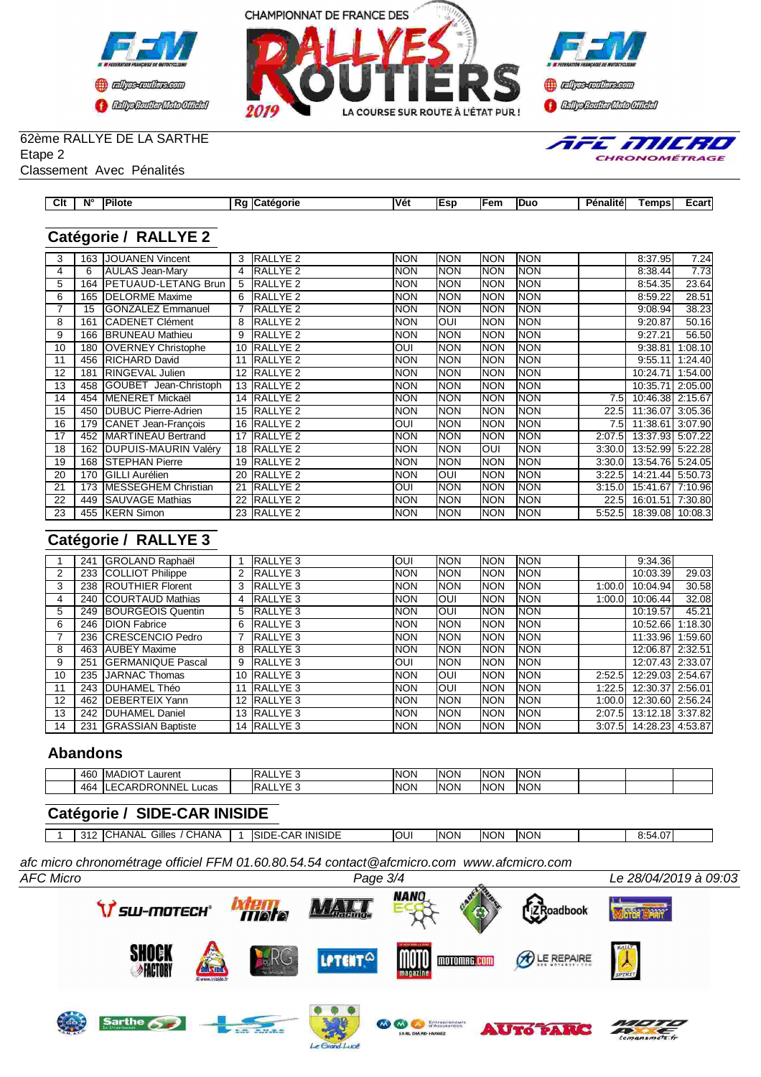





E MILRO

CHRONOMÉTRAGE

# 62ème RALLYE DE LA SARTHE

Etape 2

| Classement Avec Pénalités |  |
|---------------------------|--|
|                           |  |

| $\sim$<br>vн | $N^{\circ}$ | 'Pilote | . .<br><br>. .<br>. ате<br>огіе<br>n. | <b>Vét</b> | - - - -<br>en | -Duc | - -<br><br>unalitel ∍<br>--- | <b>Temps</b> | _uaru |
|--------------|-------------|---------|---------------------------------------|------------|---------------|------|------------------------------|--------------|-------|
|              |             |         |                                       |            |               |      |                              |              |       |

## **Catégorie / RALLYE 2**

| 3  | 163 | <b>JOUANEN Vincent</b>       | 3  | <b>RALLYE 2</b>     | <b>NON</b>  | <b>NON</b> | <b>NON</b>  | <b>NON</b> |                  | 8:37.95                 | 7.24    |
|----|-----|------------------------------|----|---------------------|-------------|------------|-------------|------------|------------------|-------------------------|---------|
| 4  | 6   | AULAS Jean-Mary              | 4  | <b>RALLYE 2</b>     | <b>NON</b>  | <b>NON</b> | <b>INON</b> | <b>NON</b> |                  | 8:38.44                 | 7.73    |
| 5  | 164 | <b>IPETUAUD-LETANG Brun</b>  | 5  | RALLYE <sub>2</sub> | Inon        | <b>NON</b> | <b>INON</b> | <b>NON</b> |                  | 8:54.35                 | 23.64   |
| 6  | 165 | <b>IDELORME</b> Maxime       | 6  | RALLYE <sub>2</sub> | <b>INON</b> | <b>NON</b> | <b>NON</b>  | <b>NON</b> |                  | 8:59.22                 | 28.51   |
|    | 15  | <b>GONZALEZ Emmanuel</b>     |    | <b>RALLYE 2</b>     | <b>NON</b>  | <b>NON</b> | <b>NON</b>  | <b>NON</b> |                  | 9:08.94                 | 38.23   |
| 8  | 161 | <b>ICADENET Clément</b>      | 8  | <b>RALLYE 2</b>     | <b>NON</b>  | IOUI       | <b>NON</b>  | <b>NON</b> |                  | 9:20.87                 | 50.16   |
| 9  | 166 | <b>BRUNEAU</b> Mathieu       | 9  | <b>RALLYE 2</b>     | <b>NON</b>  | <b>NON</b> | Inon        | <b>NON</b> |                  | 9:27.21                 | 56.50   |
| 10 | 180 | <b>OVERNEY Christophe</b>    |    | 10 RALLYE 2         | <b>OUI</b>  | <b>NON</b> | <b>NON</b>  | <b>NON</b> |                  | 9:38.81                 | 1:08.10 |
| 11 | 456 | <b>RICHARD David</b>         |    | <b>RALLYE 2</b>     | <b>NON</b>  | <b>NON</b> | Inon        | <b>NON</b> |                  | 9:55.11                 | 1:24.40 |
| 12 | 181 | RINGEVAL Julien              |    | 12 RALLYE 2         | <b>NON</b>  | <b>NON</b> | <b>NON</b>  | <b>NON</b> |                  | 10:24.71                | 1:54.00 |
| 13 | 458 | GOUBET Jean-Christoph        |    | 13 RALLYE 2         | Inon        | <b>NON</b> | <b>NON</b>  | <b>NON</b> |                  | 10:35.71                | 2:05.00 |
| 14 | 454 | <b>IMENERET Mickaël</b>      |    | 14 RALLYE 2         | <b>INON</b> | <b>NON</b> | <b>NON</b>  | <b>NON</b> | 7.5I             | 10:46.38 2:15.67        |         |
| 15 | 450 | <b>DUBUC Pierre-Adrien</b>   |    | 15 RALLYE 2         | <b>NON</b>  | <b>NON</b> | <b>INON</b> | <b>NON</b> | 22.5             | 11:36.07 3:05.36        |         |
| 16 | 179 | CANET Jean-Francois          |    | 16 RALLYE 2         | IUO         | <b>NON</b> | <b>NON</b>  | <b>NON</b> | 7.5 <sub>1</sub> | 11:38.61 3:07.90        |         |
| 17 | 452 | MARTINEAU Bertrand           |    | 17 RALLYE 2         | <b>NON</b>  | <b>NON</b> | <b>NON</b>  | <b>NON</b> | 2:07.5           | 13:37.93 5:07.22        |         |
| 18 | 162 | <b>IDUPUIS-MAURIN Valéry</b> |    | 18 RALLYE 2         | INON        | NON        | IOUI        | <b>NON</b> | 3:30.0           | 13:52.99 5:22.28        |         |
| 19 | 168 | <b>ISTEPHAN Pierre</b>       |    | 19 RALLYE 2         | <b>INON</b> | <b>NON</b> | <b>NON</b>  | <b>NON</b> | 3:30.0           | 13:54.76 5:24.05        |         |
| 20 | 170 | <b>IGILLI Aurélien</b>       |    | <b>RALLYE 2</b>     | <b>NON</b>  | IOUI       | Inon        | <b>NON</b> | 3:22.5           | 14:21.44 5:50.73        |         |
| 21 | 173 | <b>IMESSEGHEM Christian</b>  | 21 | <b>RALLYE 2</b>     | IUOI        | <b>NON</b> | <b>NON</b>  | <b>NON</b> | 3:15.0           | 15:41.67 7:10.96        |         |
| 22 | 449 | <b>I</b> SAUVAGE Mathias     | 22 | <b>RALLYE 2</b>     | INON        | <b>NON</b> | <b>NON</b>  | <b>NON</b> | 22.5             | 16:01.51 7:30.80        |         |
| 23 |     | 455 <b>IKERN</b> Simon       |    | 23 RALLYE 2         | NON         | <b>NON</b> | <b>NON</b>  | <b>NON</b> |                  | 5:52.5 18:39.08 10:08.3 |         |

## **Catégorie / RALLYE 3**

|    | 241 | GROLAND Raphaël           |   | RALLYE <sub>3</sub> | IOUI        | <b>INON</b> | <b>INON</b> | <b>NON</b> |        | 9:34.36          |         |
|----|-----|---------------------------|---|---------------------|-------------|-------------|-------------|------------|--------|------------------|---------|
|    | 233 | <b>COLLIOT Philippe</b>   |   | 2 RALLYE 3          | <b>INON</b> | <b>INON</b> | <b>INON</b> | <b>NON</b> |        | 10:03.39         | 29.03   |
|    |     | 238  ROUTHIER Florent     |   | 3 RALLYE 3          | <b>INON</b> | <b>INON</b> | <b>INON</b> | <b>NON</b> | 1:00.0 | 10:04.94         | 30.58   |
| 4  |     | 240 COURTAUD Mathias      |   | 4 RALLYE 3          | <b>INON</b> | loui        | <b>INON</b> | <b>NON</b> | 1:00.0 | 10:06.44         | 32.08   |
| 5  |     | 249 BOURGEOIS Quentin     |   | 5 RALLYE 3          | <b>INON</b> | loui        | <b>INON</b> | <b>NON</b> |        | 10:19.57         | 45.21   |
| 6  |     | 246 DION Fabrice          |   | 6 RALLYE 3          | <b>INON</b> | <b>INON</b> | <b>INON</b> | <b>NON</b> |        | 10:52.66         | 1:18.30 |
|    | 236 | <b>ICRESCENCIO Pedro</b>  |   | <b>RALLYE 3</b>     | <b>INON</b> | <b>INON</b> | <b>INON</b> | <b>NON</b> |        | 11:33.96 1:59.60 |         |
| 8  | 463 | <b>AUBEY Maxime</b>       | 8 | RALLYE <sub>3</sub> | <b>INON</b> | <b>INON</b> | <b>INON</b> | <b>NON</b> |        | 12:06.87 2:32.51 |         |
| 9  | 251 | <b>IGERMANIQUE Pascal</b> | 9 | RALLYE 3            | IOUI        | <b>INON</b> | <b>INON</b> | <b>NON</b> |        | 12:07.43 2:33.07 |         |
| 10 |     | 235 JJARNAC Thomas        |   | 10 RALLYE 3         | <b>INON</b> | loui        | <b>INON</b> | <b>NON</b> | 2:52.5 | 12:29.03 2:54.67 |         |
| 11 |     | 243 IDUHAMEL Théo         |   | 11 RALLYE 3         | <b>INON</b> | IOUI        | <b>INON</b> | <b>NON</b> | 1:22.5 | 12:30.37 2:56.01 |         |
| 12 | 462 | <b>IDEBERTEIX Yann</b>    |   | 12 RALLYE 3         | <b>INON</b> | <b>INON</b> | <b>INON</b> | <b>NON</b> | 1:00.0 | 12:30.60 2:56.24 |         |
| 13 | 242 | <b>IDUHAMEL Daniel</b>    |   | 13 RALLYE 3         | <b>INON</b> | <b>INON</b> | <b>INON</b> | <b>NON</b> | 2:07.5 | 13:12.18 3:37.82 |         |
| 14 | 231 | <b>GRASSIAN Baptiste</b>  |   | 14 RALLYE 3         | <b>INON</b> | <b>INON</b> | <b>INON</b> | <b>NON</b> | 3:07.5 | 14:28.23 4:53.87 |         |

#### **Abandons**

| 460        | $MADIO+$<br>Laurent                         | $\sqrt{2}$ | <b>INON</b> | ∖∩ר<br>IN(<br>ື | <b>INON</b> | <b>NON</b> |  |  |
|------------|---------------------------------------------|------------|-------------|-----------------|-------------|------------|--|--|
| 464<br>. . | <b>ONNE</b><br>Пk.<br>Lucas<br>$\mathbf{A}$ | $V\Gamma$  | <b>INON</b> | ำ∩<br>IN0<br>ື  | <b>INON</b> | <b>NON</b> |  |  |

## **Catégorie / SIDE-CAR INISIDE**

312 CHANAL Gilles / CHANA 1 SIDE-CAR INISIDE OUI NON NON NON 8:54.07

*AFC Micro Page 3/4 Le 28/04/2019 à 09:03 afc micro chronométrage officiel FFM 01.60.80.54.54 contact@afcmicro.com www.afcmicro.com*

Le Gre

 $d$ luce